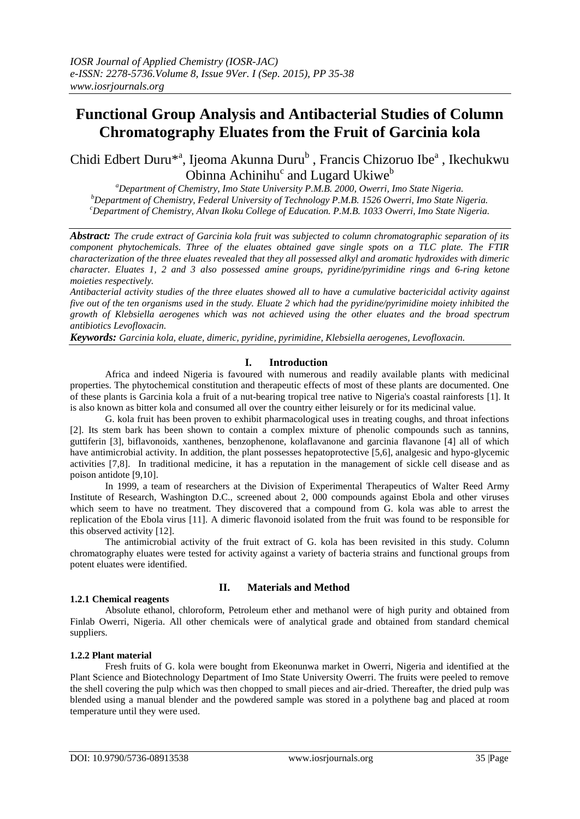# **Functional Group Analysis and Antibacterial Studies of Column Chromatography Eluates from the Fruit of Garcinia kola**

Chidi Edbert Duru<sup>\*a</sup>, Ijeoma Akunna Duru<sup>b</sup>, Francis Chizoruo Ibe<sup>a</sup>, Ikechukwu Obinna Achinihu<sup>c</sup> and Lugard Ukiwe<sup>b</sup>

*<sup>a</sup>Department of Chemistry, Imo State University P.M.B. 2000, Owerri, Imo State Nigeria. <sup>b</sup>Department of Chemistry, Federal University of Technology P.M.B. 1526 Owerri, Imo State Nigeria. <sup>c</sup>Department of Chemistry, Alvan Ikoku College of Education. P.M.B. 1033 Owerri, Imo State Nigeria.*

*Abstract: The crude extract of Garcinia kola fruit was subjected to column chromatographic separation of its component phytochemicals. Three of the eluates obtained gave single spots on a TLC plate. The FTIR characterization of the three eluates revealed that they all possessed alkyl and aromatic hydroxides with dimeric character. Eluates 1, 2 and 3 also possessed amine groups, pyridine/pyrimidine rings and 6-ring ketone moieties respectively.* 

*Antibacterial activity studies of the three eluates showed all to have a cumulative bactericidal activity against five out of the ten organisms used in the study. Eluate 2 which had the pyridine/pyrimidine moiety inhibited the growth of Klebsiella aerogenes which was not achieved using the other eluates and the broad spectrum antibiotics Levofloxacin.* 

*Keywords: Garcinia kola, eluate, dimeric, pyridine, pyrimidine, Klebsiella aerogenes, Levofloxacin.*

#### **I. Introduction**

Africa and indeed Nigeria is favoured with numerous and readily available plants with medicinal properties. The phytochemical constitution and therapeutic effects of most of these plants are documented. One of these plants is Garcinia kola a fruit of a nut-bearing tropical tree native to Nigeria's coastal rainforests [1]. It is also known as bitter kola and consumed all over the country either leisurely or for its medicinal value.

G. kola fruit has been proven to exhibit pharmacological uses in treating coughs, and throat infections [2]. Its stem bark has been shown to contain a complex mixture of phenolic compounds such as tannins, guttiferin [3], biflavonoids, xanthenes, benzophenone, kolaflavanone and garcinia flavanone [4] all of which have antimicrobial activity. In addition, the plant possesses hepatoprotective [5,6], analgesic and hypo-glycemic activities [7,8]. In traditional medicine, it has a reputation in the management of sickle cell disease and as poison antidote [9,10].

In 1999, a team of researchers at the Division of Experimental Therapeutics of Walter Reed Army Institute of Research, Washington D.C., screened about 2, 000 compounds against Ebola and other viruses which seem to have no treatment. They discovered that a compound from G. kola was able to arrest the replication of the Ebola virus [11]. A dimeric flavonoid isolated from the fruit was found to be responsible for this observed activity [12].

The antimicrobial activity of the fruit extract of G. kola has been revisited in this study. Column chromatography eluates were tested for activity against a variety of bacteria strains and functional groups from potent eluates were identified.

#### **1.2.1 Chemical reagents**

# **II. Materials and Method**

Absolute ethanol, chloroform, Petroleum ether and methanol were of high purity and obtained from Finlab Owerri, Nigeria. All other chemicals were of analytical grade and obtained from standard chemical suppliers.

#### **1.2.2 Plant material**

Fresh fruits of G. kola were bought from Ekeonunwa market in Owerri, Nigeria and identified at the Plant Science and Biotechnology Department of Imo State University Owerri. The fruits were peeled to remove the shell covering the pulp which was then chopped to small pieces and air-dried. Thereafter, the dried pulp was blended using a manual blender and the powdered sample was stored in a polythene bag and placed at room temperature until they were used.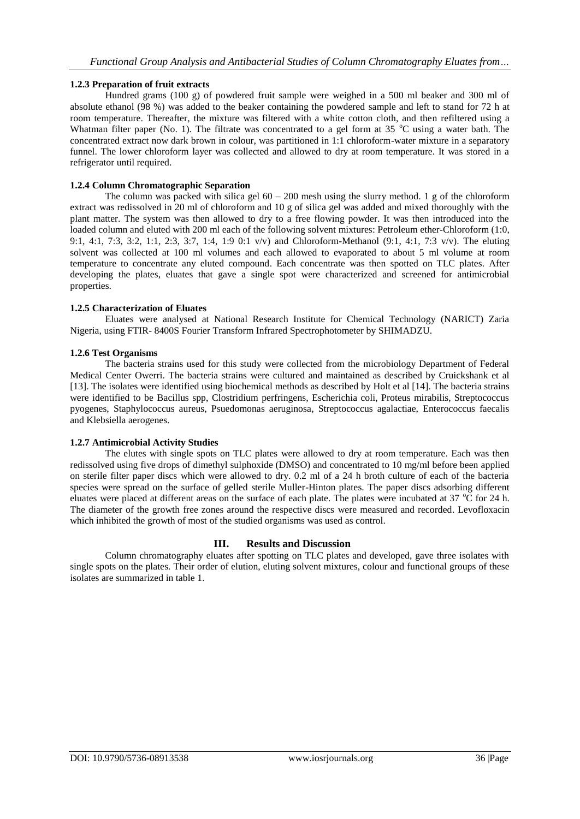# **1.2.3 Preparation of fruit extracts**

Hundred grams (100 g) of powdered fruit sample were weighed in a 500 ml beaker and 300 ml of absolute ethanol (98 %) was added to the beaker containing the powdered sample and left to stand for 72 h at room temperature. Thereafter, the mixture was filtered with a white cotton cloth, and then refiltered using a Whatman filter paper (No. 1). The filtrate was concentrated to a gel form at  $35^{\circ}$ C using a water bath. The concentrated extract now dark brown in colour, was partitioned in 1:1 chloroform-water mixture in a separatory funnel. The lower chloroform layer was collected and allowed to dry at room temperature. It was stored in a refrigerator until required.

# **1.2.4 Column Chromatographic Separation**

The column was packed with silica gel  $60 - 200$  mesh using the slurry method. 1 g of the chloroform extract was redissolved in 20 ml of chloroform and 10 g of silica gel was added and mixed thoroughly with the plant matter. The system was then allowed to dry to a free flowing powder. It was then introduced into the loaded column and eluted with 200 ml each of the following solvent mixtures: Petroleum ether-Chloroform (1:0, 9:1, 4:1, 7:3, 3:2, 1:1, 2:3, 3:7, 1:4, 1:9 0:1 v/v) and Chloroform-Methanol (9:1, 4:1, 7:3 v/v). The eluting solvent was collected at 100 ml volumes and each allowed to evaporated to about 5 ml volume at room temperature to concentrate any eluted compound. Each concentrate was then spotted on TLC plates. After developing the plates, eluates that gave a single spot were characterized and screened for antimicrobial properties.

# **1.2.5 Characterization of Eluates**

Eluates were analysed at National Research Institute for Chemical Technology (NARICT) Zaria Nigeria, using FTIR- 8400S Fourier Transform Infrared Spectrophotometer by SHIMADZU.

# **1.2.6 Test Organisms**

The bacteria strains used for this study were collected from the microbiology Department of Federal Medical Center Owerri. The bacteria strains were cultured and maintained as described by Cruickshank et al [13]. The isolates were identified using biochemical methods as described by Holt et al [14]. The bacteria strains were identified to be Bacillus spp, Clostridium perfringens, Escherichia coli, Proteus mirabilis, Streptococcus pyogenes, Staphylococcus aureus, Psuedomonas aeruginosa, Streptococcus agalactiae, Enterococcus faecalis and Klebsiella aerogenes.

# **1.2.7 Antimicrobial Activity Studies**

The elutes with single spots on TLC plates were allowed to dry at room temperature. Each was then redissolved using five drops of dimethyl sulphoxide (DMSO) and concentrated to 10 mg/ml before been applied on sterile filter paper discs which were allowed to dry. 0.2 ml of a 24 h broth culture of each of the bacteria species were spread on the surface of gelled sterile Muller-Hinton plates. The paper discs adsorbing different eluates were placed at different areas on the surface of each plate. The plates were incubated at 37 °C for 24 h. The diameter of the growth free zones around the respective discs were measured and recorded. Levofloxacin which inhibited the growth of most of the studied organisms was used as control.

# **III. Results and Discussion**

Column chromatography eluates after spotting on TLC plates and developed, gave three isolates with single spots on the plates. Their order of elution, eluting solvent mixtures, colour and functional groups of these isolates are summarized in table 1.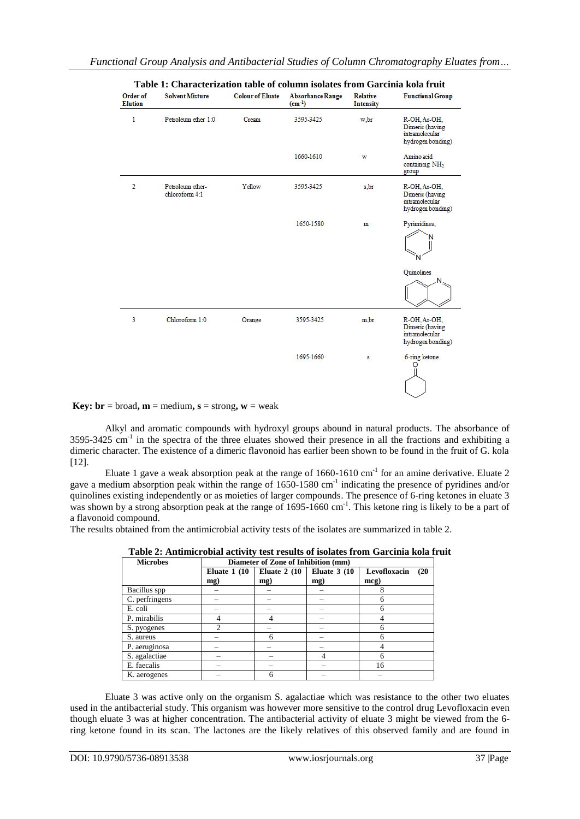| Order of<br><b>Elution</b> | <b>Solvent Mixture</b>             | <b>Colour of Eluate</b> | <b>Absorbance Range</b><br>$(cm^{-1})$ | <b>Relative</b><br><b>Intensity</b> | <b>Functional Group</b>                                                |
|----------------------------|------------------------------------|-------------------------|----------------------------------------|-------------------------------------|------------------------------------------------------------------------|
| 1                          | Petroleum ether 1:0                | Cream                   | 3595-3425                              | w,br                                | R-OH, Ar-OH,<br>Dimeric (having<br>intramolecular<br>hydrogen bonding) |
|                            |                                    |                         | 1660-1610                              | w                                   | Amino acid<br>containing NH <sub>2</sub><br>group                      |
| 2                          | Petroleum ether-<br>chloroform 4:1 | Yellow                  | 3595-3425                              | s.br                                | R-OH, Ar-OH,<br>Dimeric (having<br>intramolecular<br>hydrogen bonding) |
|                            |                                    |                         | 1650-1580                              | m                                   | Pyrimidines,                                                           |
|                            |                                    |                         |                                        |                                     | Quinolines                                                             |
| 3                          | Chloroform 1:0                     | Orange                  | 3595-3425                              | m.br                                | R-OH, Ar-OH,<br>Dimeric (having<br>intramolecular<br>hydrogen bonding) |
|                            |                                    |                         | 1695-1660                              | s                                   | 6-ring ketone<br>O                                                     |

**Key:**  $\mathbf{br} = \text{broad}, \mathbf{m} = \text{medium}, \mathbf{s} = \text{strong}, \mathbf{w} = \text{weak}$ 

Alkyl and aromatic compounds with hydroxyl groups abound in natural products. The absorbance of 3595-3425 cm<sup>-1</sup> in the spectra of the three eluates showed their presence in all the fractions and exhibiting a dimeric character. The existence of a dimeric flavonoid has earlier been shown to be found in the fruit of G. kola [12].

Eluate 1 gave a weak absorption peak at the range of  $1660-1610 \text{ cm}^{-1}$  for an amine derivative. Eluate 2 gave a medium absorption peak within the range of 1650-1580 cm<sup>-1</sup> indicating the presence of pyridines and/or quinolines existing independently or as moieties of larger compounds. The presence of 6-ring ketones in eluate 3 was shown by a strong absorption peak at the range of 1695-1660 cm<sup>-1</sup>. This ketone ring is likely to be a part of a flavonoid compound.

The results obtained from the antimicrobial activity tests of the isolates are summarized in table 2.

| <b>Microbes</b> | Diameter of Zone of Inhibition (mm) |               |                |                      |
|-----------------|-------------------------------------|---------------|----------------|----------------------|
|                 | Eluate $1(10$                       | Eluate $2(10$ | Eluate $3(10)$ | Levofloxacin<br>(20) |
|                 | mg)                                 | mg)           | mg)            | mcg)                 |
| Bacillus spp    |                                     |               |                |                      |
| C. perfringens  |                                     |               |                | 6                    |
| E. coli         |                                     |               |                | 6                    |
| P. mirabilis    |                                     |               |                |                      |
| S. pyogenes     |                                     |               |                |                      |
| S. aureus       |                                     | h             |                |                      |
| P. aeruginosa   |                                     |               |                |                      |
| S. agalactiae   |                                     |               |                | 6                    |
| E. faecalis     |                                     |               |                | 16                   |
| K. aerogenes    |                                     |               |                |                      |

**Table 2: Antimicrobial activity test results of isolates from Garcinia kola fruit**

Eluate 3 was active only on the organism S. agalactiae which was resistance to the other two eluates used in the antibacterial study. This organism was however more sensitive to the control drug Levofloxacin even though eluate 3 was at higher concentration. The antibacterial activity of eluate 3 might be viewed from the 6 ring ketone found in its scan. The lactones are the likely relatives of this observed family and are found in